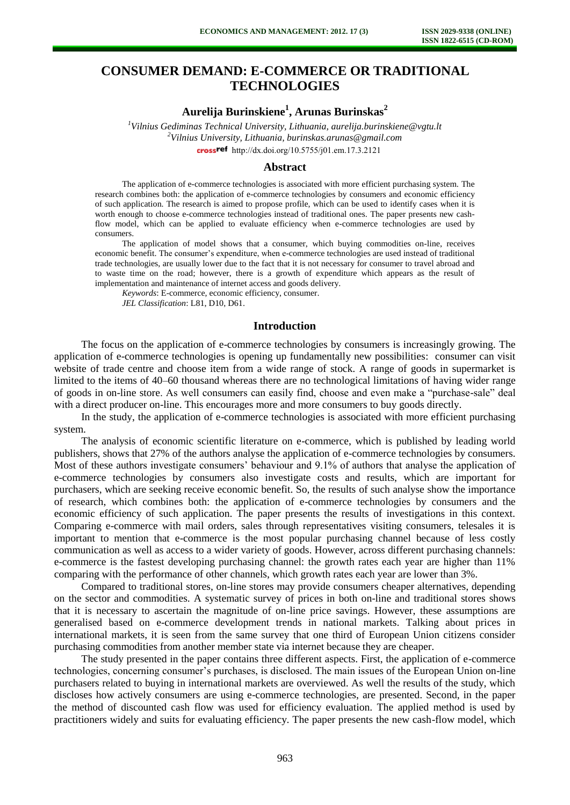# **CONSUMER DEMAND: E-COMMERCE OR TRADITIONAL TECHNOLOGIES**

**Aurelija Burinskiene<sup>1</sup> , Arunas Burinskas<sup>2</sup>**

*<sup>1</sup>Vilnius Gediminas Technical University, Lithuania, aurelija.burinskiene@vgtu.lt <sup>2</sup>Vilnius University, Lithuania, burinskas.arunas@gmail.com*  [http://dx.doi.org/10.5755/j01.e](http://dx.doi.org/10.5755/j01.em.17.3.2121)m.17.3.2121

#### **Abstract**

The application of e-commerce technologies is associated with more efficient purchasing system. The research combines both: the application of e-commerce technologies by consumers and economic efficiency of such application. The research is aimed to propose profile, which can be used to identify cases when it is worth enough to choose e-commerce technologies instead of traditional ones. The paper presents new cashflow model, which can be applied to evaluate efficiency when e-commerce technologies are used by consumers.

The application of model shows that a consumer, which buying commodities on-line, receives economic benefit. The consumer's expenditure, when e-commerce technologies are used instead of traditional trade technologies, are usually lower due to the fact that it is not necessary for consumer to travel abroad and to waste time on the road; however, there is a growth of expenditure which appears as the result of implementation and maintenance of internet access and goods delivery.

*Keywords*: E-commerce, economic efficiency, consumer.

*JEL Classification*: L81, D10, D61.

### **Introduction**

The focus on the application of e-commerce technologies by consumers is increasingly growing. The application of e-commerce technologies is opening up fundamentally new possibilities: consumer can visit website of trade centre and choose item from a wide range of stock. A range of goods in supermarket is limited to the items of 40–60 thousand whereas there are no technological limitations of having wider range of goods in on-line store. As well consumers can easily find, choose and even make a "purchase-sale" deal with a direct producer on-line. This encourages more and more consumers to buy goods directly.

In the study, the application of e-commerce technologies is associated with more efficient purchasing system.

The analysis of economic scientific literature on e-commerce, which is published by leading world publishers, shows that 27% of the authors analyse the application of e-commerce technologies by consumers. Most of these authors investigate consumers' behaviour and 9.1% of authors that analyse the application of e-commerce technologies by consumers also investigate costs and results, which are important for purchasers, which are seeking receive economic benefit. So, the results of such analyse show the importance of research, which combines both: the application of e-commerce technologies by consumers and the economic efficiency of such application. The paper presents the results of investigations in this context. Comparing e-commerce with mail orders, sales through representatives visiting consumers, telesales it is important to mention that e-commerce is the most popular purchasing channel because of less costly communication as well as access to a wider variety of goods. However, across different purchasing channels: e-commerce is the fastest developing purchasing channel: the growth rates each year are higher than 11% comparing with the performance of other channels, which growth rates each year are lower than 3%.

Compared to traditional stores, on-line stores may provide consumers cheaper alternatives, depending on the sector and commodities. A systematic survey of prices in both on-line and traditional stores shows that it is necessary to ascertain the magnitude of on-line price savings. However, these assumptions are generalised based on e-commerce development trends in national markets. Talking about prices in international markets, it is seen from the same survey that one third of European Union citizens consider purchasing commodities from another member state via internet because they are cheaper.

The study presented in the paper contains three different aspects. First, the application of e-commerce technologies, concerning consumer's purchases, is disclosed. The main issues of the European Union on-line purchasers related to buying in international markets are overviewed. As well the results of the study, which discloses how actively consumers are using e-commerce technologies, are presented. Second, in the paper the method of discounted cash flow was used for efficiency evaluation. The applied method is used by practitioners widely and suits for evaluating efficiency. The paper presents the new cash-flow model, which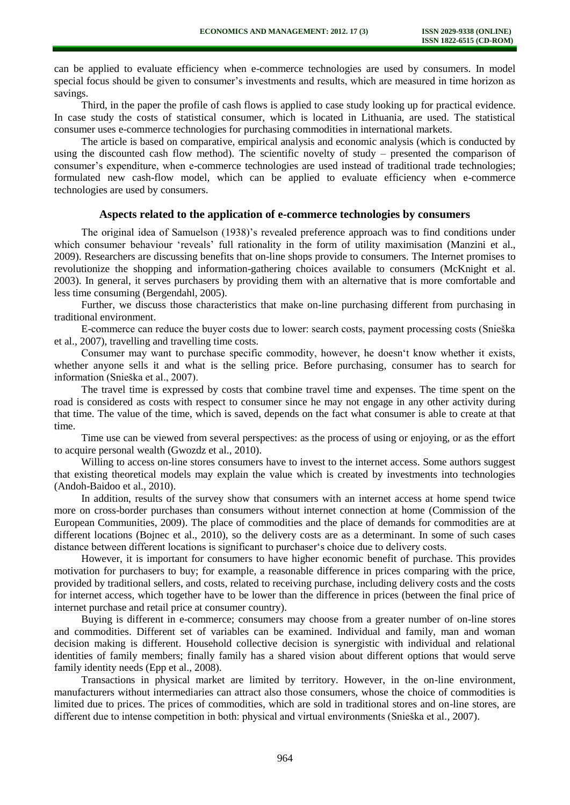can be applied to evaluate efficiency when e-commerce technologies are used by consumers. In model special focus should be given to consumer's investments and results, which are measured in time horizon as savings.

Third, in the paper the profile of cash flows is applied to case study looking up for practical evidence. In case study the costs of statistical consumer, which is located in Lithuania, are used. The statistical consumer uses e-commerce technologies for purchasing commodities in international markets.

The article is based on comparative, empirical analysis and economic analysis (which is conducted by using the discounted cash flow method). The scientific novelty of study – presented the comparison of consumer's expenditure, when e-commerce technologies are used instead of traditional trade technologies; formulated new cash-flow model, which can be applied to evaluate efficiency when e-commerce technologies are used by consumers.

#### **Aspects related to the application of e-commerce technologies by consumers**

The original idea of Samuelson (1938)'s revealed preference approach was to find conditions under which consumer behaviour 'reveals' full rationality in the form of utility maximisation (Manzini et al., 2009). Researchers are discussing benefits that on-line shops provide to consumers. The Internet promises to revolutionize the shopping and information-gathering choices available to consumers (McKnight et al. 2003). In general, it serves purchasers by providing them with an alternative that is more comfortable and less time consuming (Bergendahl, 2005).

Further, we discuss those characteristics that make on-line purchasing different from purchasing in traditional environment.

E-commerce can reduce the buyer costs due to lower: search costs, payment processing costs (Snieška et al., 2007), travelling and travelling time costs.

Consumer may want to purchase specific commodity, however, he doesn't know whether it exists, whether anyone sells it and what is the selling price. Before purchasing, consumer has to search for information (Snieška et al., 2007).

The travel time is expressed by costs that combine travel time and expenses. The time spent on the road is considered as costs with respect to consumer since he may not engage in any other activity during that time. The value of the time, which is saved, depends on the fact what consumer is able to create at that time.

Time use can be viewed from several perspectives: as the process of using or enjoying, or as the effort to acquire personal wealth (Gwozdz et al., 2010).

Willing to access on-line stores consumers have to invest to the internet access. Some authors suggest that existing theoretical models may explain the value which is created by investments into technologies (Andoh-Baidoo et al., 2010).

In addition, results of the survey show that consumers with an internet access at home spend twice more on cross-border purchases than consumers without internet connection at home (Commission of the European Communities, 2009). The place of commodities and the place of demands for commodities are at different locations (Bojnec et al., 2010), so the delivery costs are as a determinant. In some of such cases distance between different locations is significant to purchaser's choice due to delivery costs.

However, it is important for consumers to have higher economic benefit of purchase. This provides motivation for purchasers to buy; for example, a reasonable difference in prices comparing with the price, provided by traditional sellers, and costs, related to receiving purchase, including delivery costs and the costs for internet access, which together have to be lower than the difference in prices (between the final price of internet purchase and retail price at consumer country).

Buying is different in e-commerce; consumers may choose from a greater number of on-line stores and commodities. Different set of variables can be examined. Individual and family, man and woman decision making is different. Household collective decision is synergistic with individual and relational identities of family members; finally family has a shared vision about different options that would serve family identity needs (Epp et al., 2008).

Transactions in physical market are limited by territory. However, in the on-line environment, manufacturers without intermediaries can attract also those consumers, whose the choice of commodities is limited due to prices. The prices of commodities, which are sold in traditional stores and on-line stores, are different due to intense competition in both: physical and virtual environments (Snieška et al., 2007).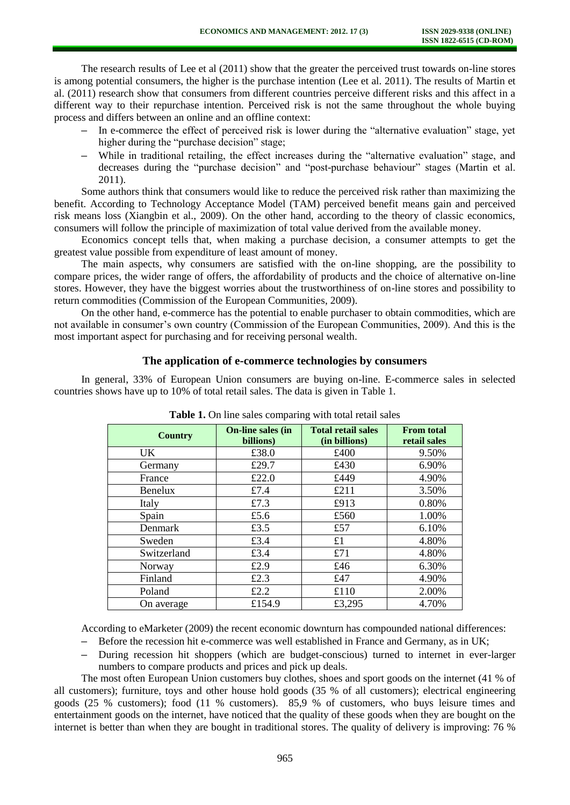The research results of Lee et al (2011) show that the greater the perceived trust towards on-line stores is among potential consumers, the higher is the purchase intention (Lee et al. 2011). The results of Martin et al. (2011) research show that consumers from different countries perceive different risks and this affect in a different way to their repurchase intention. Perceived risk is not the same throughout the whole buying process and differs between an online and an offline context:

- **–** In e-commerce the effect of perceived risk is lower during the "alternative evaluation" stage, yet higher during the "purchase decision" stage:
- **–** While in traditional retailing, the effect increases during the "alternative evaluation" stage, and decreases during the "purchase decision" and "post-purchase behaviour" stages (Martin et al. 2011).

Some authors think that consumers would like to reduce the perceived risk rather than maximizing the benefit. According to Technology Acceptance Model (TAM) perceived benefit means gain and perceived risk means loss (Xiangbin et al., 2009). On the other hand, according to the theory of classic economics, consumers will follow the principle of maximization of total value derived from the available money.

Economics concept tells that, when making a purchase decision, a consumer attempts to get the greatest value possible from expenditure of least amount of money.

The main aspects, why consumers are satisfied with the on-line shopping, are the possibility to compare prices, the wider range of offers, the affordability of products and the choice of alternative on-line stores. However, they have the biggest worries about the trustworthiness of on-line stores and possibility to return commodities (Commission of the European Communities, 2009).

On the other hand, e-commerce has the potential to enable purchaser to obtain commodities, which are not available in consumer's own country (Commission of the European Communities, 2009). And this is the most important aspect for purchasing and for receiving personal wealth.

#### **The application of e-commerce technologies by consumers**

In general, 33% of European Union consumers are buying on-line. E-commerce sales in selected countries shows have up to 10% of total retail sales. The data is given in Table 1.

| <b>Country</b> | On-line sales (in<br>billions) | <b>Total retail sales</b><br>(in billions) | <b>From total</b><br>retail sales |  |
|----------------|--------------------------------|--------------------------------------------|-----------------------------------|--|
| UK.            | £38.0                          | £400                                       | 9.50%                             |  |
| Germany        | £29.7                          | £430                                       | 6.90%                             |  |
| France         | £22.0                          | £449                                       | 4.90%                             |  |
| Benelux        | £7.4                           | £211                                       | 3.50%                             |  |
| Italy          | £7.3                           | £913                                       | 0.80%                             |  |
| Spain          | £5.6                           | £560                                       | 1.00%                             |  |
| Denmark        | £3.5                           | £57                                        | 6.10%                             |  |
| Sweden         | £3.4                           | £1                                         | 4.80%                             |  |
| Switzerland    | £3.4                           | £71                                        | 4.80%                             |  |
| Norway         | £2.9                           | £46                                        | 6.30%                             |  |
| Finland        | £2.3                           | £47                                        | 4.90%                             |  |
| Poland         | £2.2                           | £110                                       | 2.00%                             |  |
| On average     | £154.9                         | £3,295                                     | 4.70%                             |  |

| <b>Table 1.</b> On line sales comparing with total retail sales |
|-----------------------------------------------------------------|
|-----------------------------------------------------------------|

According to eMarketer (2009) the recent economic downturn has compounded national differences:

- **–** Before the recession hit e-commerce was well established in France and Germany, as in UK;
- **–** During recession hit shoppers (which are budget-conscious) turned to internet in ever-larger numbers to compare products and prices and pick up deals.

The most often European Union customers buy clothes, shoes and sport goods on the internet (41 % of all customers); furniture, toys and other house hold goods (35 % of all customers); electrical engineering goods (25 % customers); food (11 % customers). 85,9 % of customers, who buys leisure times and entertainment goods on the internet, have noticed that the quality of these goods when they are bought on the internet is better than when they are bought in traditional stores. The quality of delivery is improving: 76 %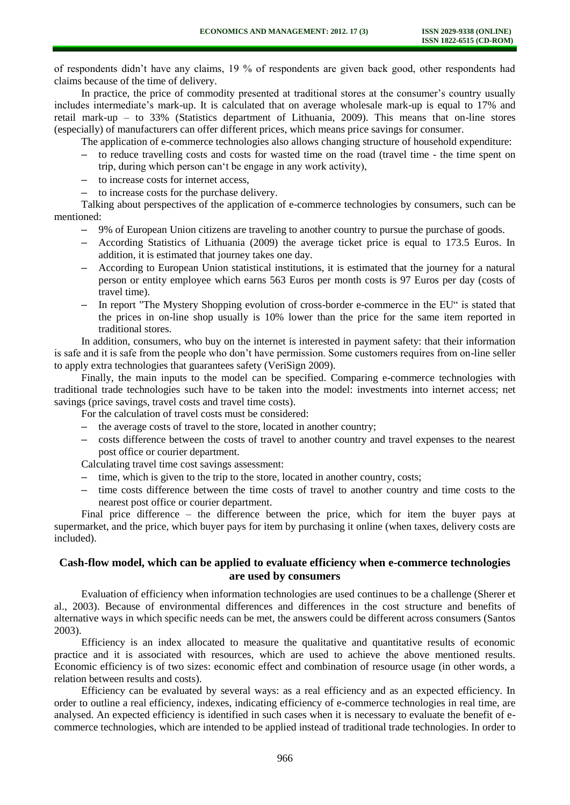of respondents didn't have any claims, 19 % of respondents are given back good, other respondents had claims because of the time of delivery.

In practice, the price of commodity presented at traditional stores at the consumer's country usually includes intermediate's mark-up. It is calculated that on average wholesale mark-up is equal to 17% and retail mark-up – to 33% (Statistics department of Lithuania, 2009). This means that on-line stores (especially) of manufacturers can offer different prices, which means price savings for consumer.

The application of e-commerce technologies also allows changing structure of household expenditure:

- **–** to reduce travelling costs and costs for wasted time on the road (travel time the time spent on trip, during which person can't be engage in any work activity),
- **–** to increase costs for internet access,
- **–** to increase costs for the purchase delivery.

Talking about perspectives of the application of e-commerce technologies by consumers, such can be mentioned:

- **–** 9% of European Union citizens are traveling to another country to pursue the purchase of goods.
- **–** According Statistics of Lithuania (2009) the average ticket price is equal to 173.5 Euros. In addition, it is estimated that journey takes one day.
- **–** According to European Union statistical institutions, it is estimated that the journey for a natural person or entity employee which earns 563 Euros per month costs is 97 Euros per day (costs of travel time).
- **–** In report "The Mystery Shopping evolution of cross-border e-commerce in the EU" is stated that the prices in on-line shop usually is 10% lower than the price for the same item reported in traditional stores.

In addition, consumers, who buy on the internet is interested in payment safety: that their information is safe and it is safe from the people who don't have permission. Some customers requires from on-line seller to apply extra technologies that guarantees safety (VeriSign 2009).

Finally, the main inputs to the model can be specified. Comparing e-commerce technologies with traditional trade technologies such have to be taken into the model: investments into internet access; net savings (price savings, travel costs and travel time costs).

- For the calculation of travel costs must be considered:
- **–** the average costs of travel to the store, located in another country;
- **–** costs difference between the costs of travel to another country and travel expenses to the nearest post office or courier department.

Calculating travel time cost savings assessment:

- **–** time, which is given to the trip to the store, located in another country, costs;
- **–** time costs difference between the time costs of travel to another country and time costs to the nearest post office or courier department.

Final price difference – the difference between the price, which for item the buyer pays at supermarket, and the price, which buyer pays for item by purchasing it online (when taxes, delivery costs are included).

## **Cash-flow model, which can be applied to evaluate efficiency when e-commerce technologies are used by consumers**

Evaluation of efficiency when information technologies are used continues to be a challenge (Sherer et al., 2003). Because of environmental differences and differences in the cost structure and benefits of alternative ways in which specific needs can be met, the answers could be different across consumers (Santos 2003).

Efficiency is an index allocated to measure the qualitative and quantitative results of economic practice and it is associated with resources, which are used to achieve the above mentioned results. Economic efficiency is of two sizes: economic effect and combination of resource usage (in other words, a relation between results and costs).

Efficiency can be evaluated by several ways: as a real efficiency and as an expected efficiency. In order to outline a real efficiency, indexes, indicating efficiency of e-commerce technologies in real time, are analysed. An expected efficiency is identified in such cases when it is necessary to evaluate the benefit of ecommerce technologies, which are intended to be applied instead of traditional trade technologies. In order to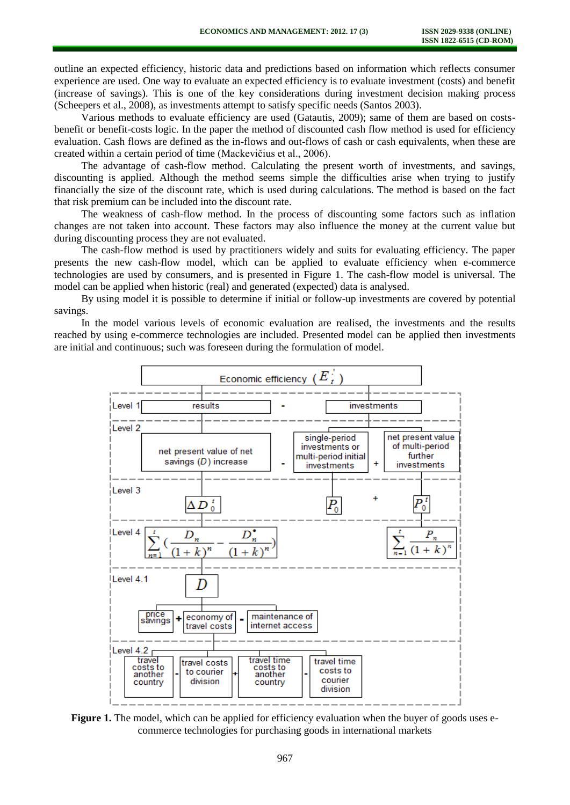outline an expected efficiency, historic data and predictions based on information which reflects consumer experience are used. One way to evaluate an expected efficiency is to evaluate investment (costs) and benefit (increase of savings). This is one of the key considerations during investment decision making process (Scheepers et al., 2008), as investments attempt to satisfy specific needs (Santos 2003).

Various methods to evaluate efficiency are used (Gatautis, 2009); same of them are based on costsbenefit or benefit-costs logic. In the paper the method of discounted cash flow method is used for efficiency evaluation. Cash flows are defined as the in-flows and out-flows of cash or cash equivalents, when these are created within a certain period of time (Mackevičius et al., 2006).

The advantage of cash-flow method. Calculating the present worth of investments, and savings, discounting is applied. Although the method seems simple the difficulties arise when trying to justify financially the size of the discount rate, which is used during calculations. The method is based on the fact that risk premium can be included into the discount rate.

The weakness of cash-flow method. In the process of discounting some factors such as inflation changes are not taken into account. These factors may also influence the money at the current value but during discounting process they are not evaluated.

The cash-flow method is used by practitioners widely and suits for evaluating efficiency. The paper presents the new cash-flow model, which can be applied to evaluate efficiency when e-commerce technologies are used by consumers, and is presented in Figure 1. The cash-flow model is universal. The model can be applied when historic (real) and generated (expected) data is analysed.

By using model it is possible to determine if initial or follow-up investments are covered by potential savings.

In the model various levels of economic evaluation are realised, the investments and the results reached by using e-commerce technologies are included. Presented model can be applied then investments are initial and continuous; such was foreseen during the formulation of model.



**Figure 1.** The model, which can be applied for efficiency evaluation when the buyer of goods uses ecommerce technologies for purchasing goods in international markets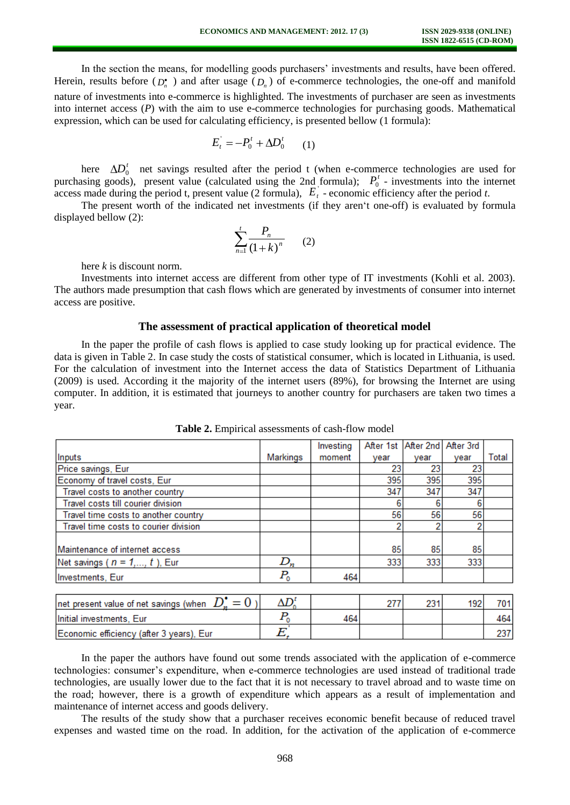In the section the means, for modelling goods purchasers' investments and results, have been offered. Herein, results before  $(D_n^{\bullet})$  and after usage  $(D_n)$  of e-commerce technologies, the one-off and manifold nature of investments into e-commerce is highlighted. The investments of purchaser are seen as investments into internet access (*P*) with the aim to use e-commerce technologies for purchasing goods. Mathematical expression, which can be used for calculating efficiency, is presented bellow (1 formula):

$$
E_t^{'} = -P_0^t + \Delta D_0^t \qquad (1)
$$

here  $\Delta D_0^t$  net savings resulted after the period t (when e-commerce technologies are used for purchasing goods), present value (calculated using the 2nd formula);  $P_0^t$  - investments into the internet access made during the period t, present value (2 formula),  $E_t$  - economic efficiency after the period *t*.

The present worth of the indicated net investments (if they aren't one-off) is evaluated by formula displayed bellow (2):

$$
\sum_{n=1}^{t} \frac{P_n}{(1+k)^n} \qquad (2)
$$

here *k* is discount norm.

Investments into internet access are different from other type of IT investments (Kohli et al. 2003). The authors made presumption that cash flows which are generated by investments of consumer into internet access are positive.

#### **The assessment of practical application of theoretical model**

In the paper the profile of cash flows is applied to case study looking up for practical evidence. The data is given in Table 2. In case study the costs of statistical consumer, which is located in Lithuania, is used. For the calculation of investment into the Internet access the data of Statistics Department of Lithuania (2009) is used. According it the majority of the internet users (89%), for browsing the Internet are using computer. In addition, it is estimated that journeys to another country for purchasers are taken two times a year.

|                                                              |                        | Investing | After 1st | After 2nd | After 3rd |              |
|--------------------------------------------------------------|------------------------|-----------|-----------|-----------|-----------|--------------|
| Inputs                                                       | Markings               | moment    | vear      | year      | vear      | <b>Total</b> |
| Price savings, Eur                                           |                        |           | 23        | 23        | 23        |              |
| Economy of travel costs, Eur                                 |                        |           | 395       | 395       | 395       |              |
| Travel costs to another country                              |                        |           | 347       | 347       | 347       |              |
| Travel costs till courier division                           |                        |           |           | 6         |           |              |
| Travel time costs to another country                         |                        |           | 56        | 56        | 56        |              |
| Travel time costs to courier division                        |                        |           |           | 2         |           |              |
|                                                              |                        |           |           |           |           |              |
| Maintenance of internet access                               |                        |           | 85        | 85        | 85        |              |
| Net savings ( $n = 1, , t$ ), Eur                            | $D_n$                  |           | 333       | 333       | 333       |              |
| Investments, Eur                                             | $P_{\rm o}$            | 464       |           |           |           |              |
|                                                              |                        |           |           |           |           |              |
| net present value of net savings (when $D_x^{\bullet} = 0$ ) | $\Delta D_{\circ}^{t}$ |           | 277       | 231       | 192       | 701          |

|  |  | Table 2. Empirical assessments of cash-flow model |  |  |
|--|--|---------------------------------------------------|--|--|
|--|--|---------------------------------------------------|--|--|

| net present value of net savings (when $D_*^{\bullet} = 0$ ) |     | nn a |  |
|--------------------------------------------------------------|-----|------|--|
| Initial investments, Eur                                     | 464 |      |  |
| Economic efficiency (after 3 years), Eur                     |     |      |  |

In the paper the authors have found out some trends associated with the application of e-commerce technologies: consumer's expenditure, when e-commerce technologies are used instead of traditional trade technologies, are usually lower due to the fact that it is not necessary to travel abroad and to waste time on the road; however, there is a growth of expenditure which appears as a result of implementation and maintenance of internet access and goods delivery.

The results of the study show that a purchaser receives economic benefit because of reduced travel expenses and wasted time on the road. In addition, for the activation of the application of e-commerce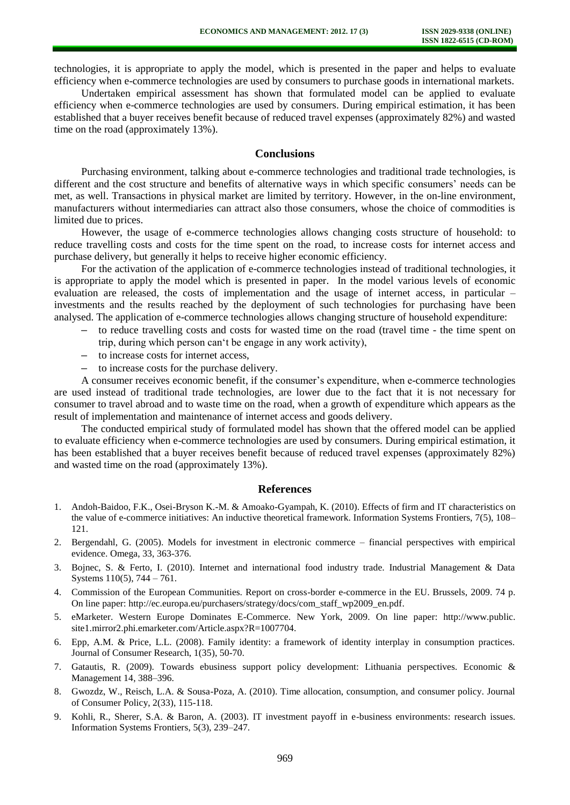technologies, it is appropriate to apply the model, which is presented in the paper and helps to evaluate efficiency when e-commerce technologies are used by consumers to purchase goods in international markets.

Undertaken empirical assessment has shown that formulated model can be applied to evaluate efficiency when e-commerce technologies are used by consumers. During empirical estimation, it has been established that a buyer receives benefit because of reduced travel expenses (approximately 82%) and wasted time on the road (approximately 13%).

## **Conclusions**

Purchasing environment, talking about e-commerce technologies and traditional trade technologies, is different and the cost structure and benefits of alternative ways in which specific consumers' needs can be met, as well. Transactions in physical market are limited by territory. However, in the on-line environment, manufacturers without intermediaries can attract also those consumers, whose the choice of commodities is limited due to prices.

However, the usage of e-commerce technologies allows changing costs structure of household: to reduce travelling costs and costs for the time spent on the road, to increase costs for internet access and purchase delivery, but generally it helps to receive higher economic efficiency.

For the activation of the application of e-commerce technologies instead of traditional technologies, it is appropriate to apply the model which is presented in paper. In the model various levels of economic evaluation are released, the costs of implementation and the usage of internet access, in particular – investments and the results reached by the deployment of such technologies for purchasing have been analysed. The application of e-commerce technologies allows changing structure of household expenditure:

- **–** to reduce travelling costs and costs for wasted time on the road (travel time the time spent on trip, during which person can't be engage in any work activity),
- **–** to increase costs for internet access,
- **–** to increase costs for the purchase delivery.

A consumer receives economic benefit, if the consumer's expenditure, when e-commerce technologies are used instead of traditional trade technologies, are lower due to the fact that it is not necessary for consumer to travel abroad and to waste time on the road, when a growth of expenditure which appears as the result of implementation and maintenance of internet access and goods delivery.

The conducted empirical study of formulated model has shown that the offered model can be applied to evaluate efficiency when e-commerce technologies are used by consumers. During empirical estimation, it has been established that a buyer receives benefit because of reduced travel expenses (approximately 82%) and wasted time on the road (approximately 13%).

#### **References**

- 1. Andoh-Baidoo, F.K., Osei-Bryson K.-M. & Amoako-Gyampah, K. (2010). Effects of firm and IT characteristics on the value of e-commerce initiatives: An inductive theoretical framework. Information Systems Frontiers, 7(5), 108– 121.
- 2. Bergendahl, G. (2005). Models for investment in electronic commerce financial perspectives with empirical evidence. Omega, 33, 363-376.
- 3. Bojnec, S. & Ferto, I. (2010). Internet and international food industry trade. Industrial Management & Data Systems 110(5), 744 – 761.
- 4. Commission of the European Communities. Report on cross-border e-commerce in the EU. Brussels, 2009. 74 p. On line paper: [http://ec.europa.eu/purchasers/strategy/docs/com\\_staff\\_wp2009\\_en.pdf.](http://ec.europa.eu/purchasers/strategy/docs/com_staff_wp2009_en.pdf)
- 5. eMarketer. Western Europe Dominates E-Commerce. New York, 2009. On line paper: [http://www.public.](http://www.public/) site1.mirror2.phi.emarketer.com/Article.aspx?R=1007704.
- 6. Epp, A.M. & Price, L.L. (2008). Family identity: a framework of identity interplay in consumption practices. Journal of Consumer Research, 1(35), 50-70.
- 7. Gatautis, R. (2009). Towards ebusiness support policy development: Lithuania perspectives. Economic & Management 14, 388–396.
- 8. Gwozdz, W., Reisch, L.A. & Sousa-Poza, A. (2010). Time allocation, consumption, and consumer policy. Journal of Consumer Policy, 2(33), 115-118.
- 9. Kohli, R., Sherer, S.A. & Baron, A. (2003). IT investment payoff in e-business environments: research issues. Information Systems Frontiers, 5(3), 239–247.